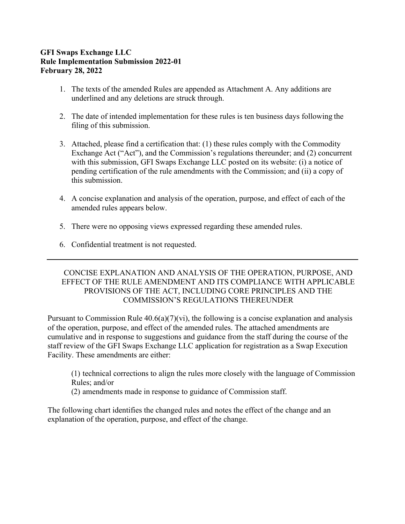# **GFI Swaps Exchange LLC Rule Implementation Submission 2022-01 February 28, 2022**

- 1. The texts of the amended Rules are appended as Attachment A. Any additions are underlined and any deletions are struck through.
- 2. The date of intended implementation for these rules is ten business days following the filing of this submission.
- 3. Attached, please find a certification that: (1) these rules comply with the Commodity Exchange Act ("Act"), and the Commission's regulations thereunder; and (2) concurrent with this submission, GFI Swaps Exchange LLC posted on its website: (i) a notice of pending certification of the rule amendments with the Commission; and (ii) a copy of this submission.
- 4. A concise explanation and analysis of the operation, purpose, and effect of each of the amended rules appears below.
- 5. There were no opposing views expressed regarding these amended rules.
- 6. Confidential treatment is not requested.

## CONCISE EXPLANATION AND ANALYSIS OF THE OPERATION, PURPOSE, AND EFFECT OF THE RULE AMENDMENT AND ITS COMPLIANCE WITH APPLICABLE PROVISIONS OF THE ACT, INCLUDING CORE PRINCIPLES AND THE COMMISSION'S REGULATIONS THEREUNDER

Pursuant to Commission Rule  $40.6(a)(7)(vi)$ , the following is a concise explanation and analysis of the operation, purpose, and effect of the amended rules. The attached amendments are cumulative and in response to suggestions and guidance from the staff during the course of the staff review of the GFI Swaps Exchange LLC application for registration as a Swap Execution Facility. These amendments are either:

(1) technical corrections to align the rules more closely with the language of Commission Rules; and/or

(2) amendments made in response to guidance of Commission staff.

The following chart identifies the changed rules and notes the effect of the change and an explanation of the operation, purpose, and effect of the change.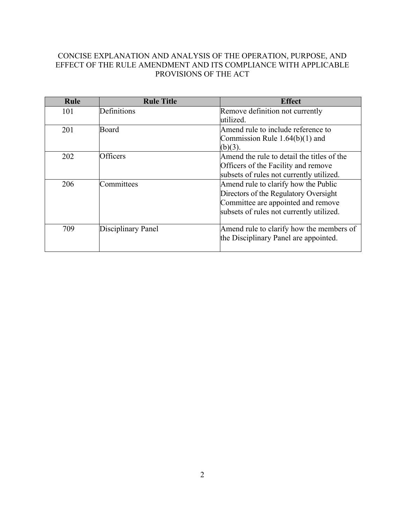# CONCISE EXPLANATION AND ANALYSIS OF THE OPERATION, PURPOSE, AND EFFECT OF THE RULE AMENDMENT AND ITS COMPLIANCE WITH APPLICABLE PROVISIONS OF THE ACT

| Rule | <b>Rule Title</b>  | <b>Effect</b>                                                                                                                                                   |
|------|--------------------|-----------------------------------------------------------------------------------------------------------------------------------------------------------------|
| 101  | Definitions        | Remove definition not currently<br>utilized.                                                                                                                    |
| 201  | Board              | Amend rule to include reference to<br>Commission Rule $1.64(b)(1)$ and<br>$(b)(3)$ .                                                                            |
| 202  | <b>Officers</b>    | Amend the rule to detail the titles of the<br>Officers of the Facility and remove<br>subsets of rules not currently utilized.                                   |
| 206  | Committees         | Amend rule to clarify how the Public<br>Directors of the Regulatory Oversight<br>Committee are appointed and remove<br>subsets of rules not currently utilized. |
| 709  | Disciplinary Panel | Amend rule to clarify how the members of<br>the Disciplinary Panel are appointed.                                                                               |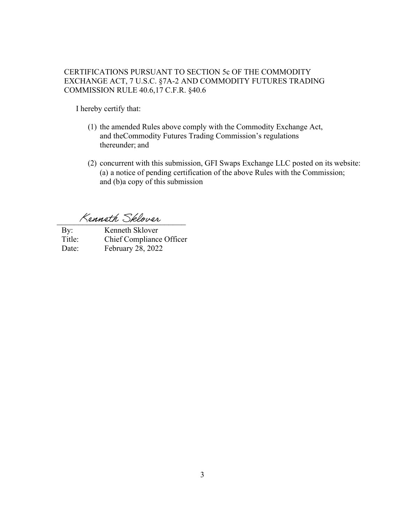## CERTIFICATIONS PURSUANT TO SECTION 5c OF THE COMMODITY EXCHANGE ACT, 7 U.S.C. §7A-2 AND COMMODITY FUTURES TRADING COMMISSION RULE 40.6, 17 C.F.R. §40.6

I hereby certify that:

- (1) the amended Rules above comply with the Commodity Exchange Act, and the Commodity Futures Trading Commission's regulations thereunder; and
- (2) concurrent with this submission, GFI Swaps Exchange LLC posted on its website: (a) a notice of pending certification of the above Rules with the Commission; and (b) a copy of this submission

Kenneth Sklover

By: Kenneth Sklover Title: Chief Compliance Officer Date: February 28, 2022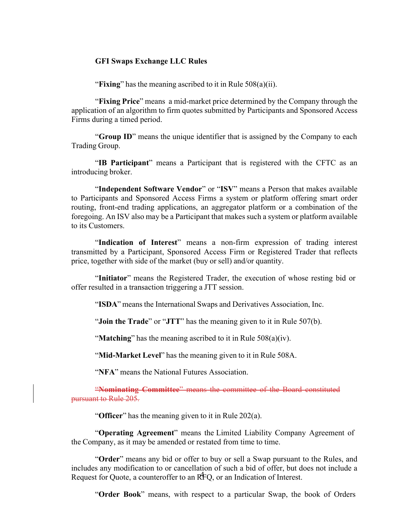#### **GFI Swaps Exchange LLC Rules**

"**Fixing**" has the meaning ascribed to it in Rule 508(a)(ii).

"**Fixing Price**" means a mid-market price determined by the Company through the application of an algorithm to firm quotes submitted by Participants and Sponsored Access Firms during a timed period.

"**Group ID**" means the unique identifier that is assigned by the Company to each Trading Group.

"**IB Participant**" means a Participant that is registered with the CFTC as an introducing broker.

"**Independent Software Vendor**" or "**ISV**" means a Person that makes available to Participants and Sponsored Access Firms a system or platform offering smart order routing, front-end trading applications, an aggregator platform or a combination of the foregoing. An ISV also may be a Participant that makes such a system or platform available to its Customers.

"**Indication of Interest**" means a non-firm expression of trading interest transmitted by a Participant, Sponsored Access Firm or Registered Trader that reflects price, together with side of the market (buy or sell) and/or quantity.

"**Initiator**" means the Registered Trader, the execution of whose resting bid or offer resulted in a transaction triggering a JTT session.

"**ISDA**" means the International Swaps and Derivatives Association, Inc.

"**Join the Trade**" or "**JTT**" has the meaning given to it in Rule 507(b).

"**Matching**" has the meaning ascribed to it in Rule 508(a)(iv).

"**Mid-Market Level**" has the meaning given to it in Rule 508A.

"**NFA**" means the National Futures Association.

"**Nominating Committee**" means the committee of the Board constituted pursuant to Rule 205.

"**Officer**" has the meaning given to it in Rule 202(a).

"**Operating Agreement**" means the Limited Liability Company Agreement of the Company, as it may be amended or restated from time to time.

Request for Quote, a counteroffer to an RFQ, or an Indication of Interest. "**Order**" means any bid or offer to buy or sell a Swap pursuant to the Rules, and includes any modification to or cancellation of such a bid of offer, but does not include a

"**Order Book**" means, with respect to a particular Swap, the book of Orders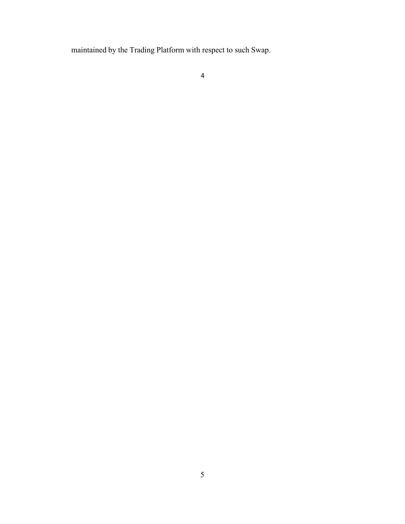maintained by the Trading Platform with respect to such Swap.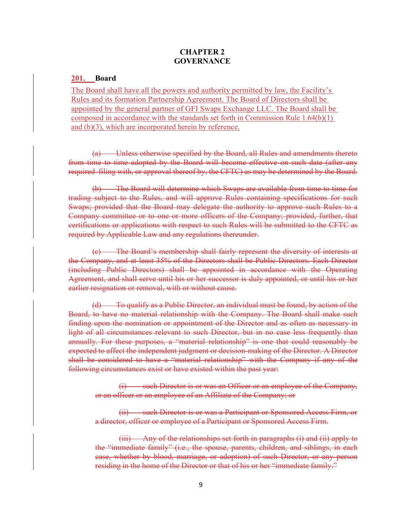## **CHAPTER 2 GOVERNANCE**

#### **201. Board**

The Board shall have all the powers and authority permitted by law, the Facility's Rules and its formation Partnership Agreement. The Board of Directors shall be appointed by the general partner of GFI Swaps Exchange LLC. The Board shall be composed in accordance with the standards set forth in Commission Rule 1.64(b)(1) and (b)(3), which are incorporated herein by reference.

Unless otherwise specified by the Board, all Rules and amendments thereto from time to time adopted by the Board will become effective on such date (after any required filing with, or approval thereof by, the CFTC) as may be determined by the Board.

(b) The Board will determine which Swaps are available from time to time for trading subject to the Rules, and will approve Rules containing specifications for such Swaps; provided that the Board may delegate the authority to approve such Rules to a Company committee or to one or more officers of the Company; provided, further, that certifications or applications with respect to such Rules will be submitted to the CFTC as required by Applicable Law and any regulations thereunder.

(c) The Board's membership shall fairly represent the diversity of interests at the Company, and at least 35% of the Directors shall be Public Directors. Each Director (including Public Directors) shall be appointed in accordance with the Operating Agreement, and shall serve until his or her successor is duly appointed, or until his or her earlier resignation or removal, with or without cause.

(d) To qualify as a Public Director, an individual must be found, by action of the Board, to have no material relationship with the Company. The Board shall make such finding upon the nomination or appointment of the Director and as often as necessary in light of all circumstances relevant to such Director, but in no case less frequently than annually. For these purposes, a "material relationship" is one that could reasonably be expected to affect the independent judgment or decision-making of the Director. A Director shall be considered to have a "material relationship" with the Company if any of the following circumstances exist or have existed within the past year:

(i) such Director is or was an Officer or an employee of the Company, or an officer or an employee of an Affiliate of the Company; or

(ii) such Director is or was a Participant or Sponsored Access Firm, or a director, officer or employee of a Participant or Sponsored Access Firm.

(iii) Any of the relationships set forth in paragraphs (i) and (ii) apply to the "immediate family" (i.e., the spouse, parents, children, and siblings, in each case, whether by blood, marriage, or adoption) of such Director, or any person residing in the home of the Director or that of his or her "immediate family."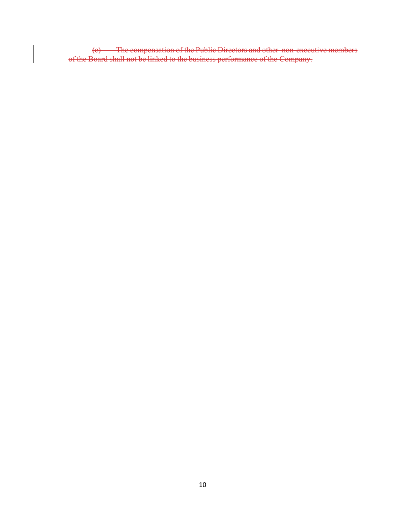(e) The compensation of the Public Directors and other non-executive members of the Board shall not be linked to the business performance of the Company.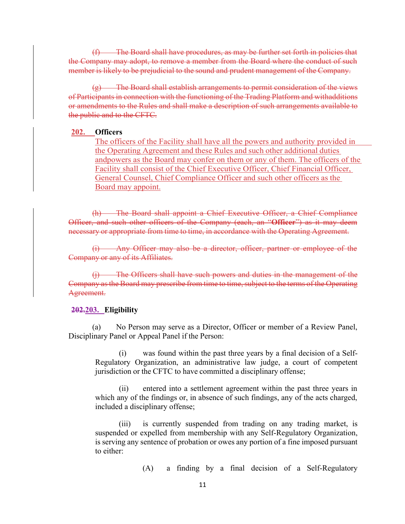(f) The Board shall have procedures, as may be further set forth in policies that the Company may adopt, to remove a member from the Board where the conduct of such member is likely to be prejudicial to the sound and prudent management of the Company.

 $(g)$  The Board shall establish arrangements to permit consideration of the views of Participants in connection with the functioning of the Trading Platform and with additions or amendments to the Rules and shall make a description of such arrangements available to the public and to the CFTC.

### **202. Officers**

The officers of the Facility shall have all the powers and authority provided in the Operating Agreement and these Rules and such other additional duties andpowers as the Board may confer on them or any of them. The officers of the Facility shall consist of the Chief Executive Officer, Chief Financial Officer, General Counsel, Chief Compliance Officer and such other officers as the Board may appoint.

(h) The Board shall appoint a Chief Executive Officer, a Chief Compliance Officer, and such other officers of the Company (each, an "**Officer**") as it may deem necessary or appropriate from time to time, in accordance with the Operating Agreement.

(i) Any Officer may also be a director, officer, partner or employee of the Company or any of its Affiliates.

(j) The Officers shall have such powers and duties in the management of the Company as the Board may prescribe from time to time, subject to the terms of the Operating Agreement.

#### **202.203. Eligibility**

(a) No Person may serve as a Director, Officer or member of a Review Panel, Disciplinary Panel or Appeal Panel if the Person:

(i) was found within the past three years by a final decision of a Self-Regulatory Organization, an administrative law judge, a court of competent jurisdiction or the CFTC to have committed a disciplinary offense;

(ii) entered into a settlement agreement within the past three years in which any of the findings or, in absence of such findings, any of the acts charged, included a disciplinary offense;

(iii) is currently suspended from trading on any trading market, is suspended or expelled from membership with any Self-Regulatory Organization, is serving any sentence of probation or owes any portion of a fine imposed pursuant to either:

(A) a finding by a final decision of a Self-Regulatory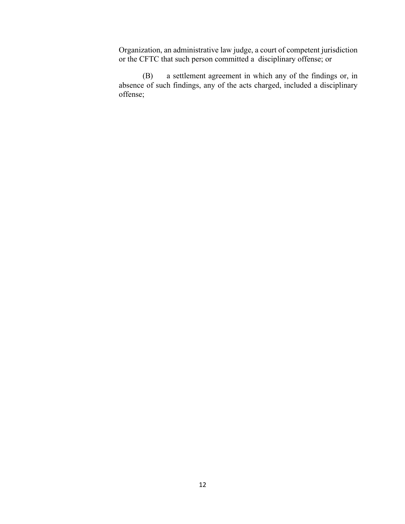Organization, an administrative law judge, a court of competent jurisdiction or the CFTC that such person committed a disciplinary offense; or

(B) a settlement agreement in which any of the findings or, in absence of such findings, any of the acts charged, included a disciplinary offense;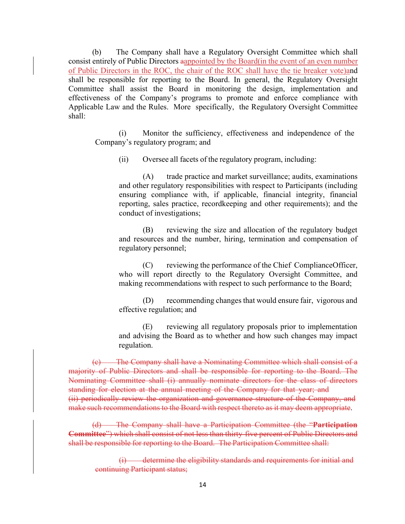(b) The Company shall have a Regulatory Oversight Committee which shall consist entirely of Public Directors aappointed by the Board(in the event of an even number of Public Directors in the ROC, the chair of the ROC shall have the tie breaker vote)and shall be responsible for reporting to the Board. In general, the Regulatory Oversight Committee shall assist the Board in monitoring the design, implementation and effectiveness of the Company's programs to promote and enforce compliance with Applicable Law and the Rules. More specifically, the Regulatory Oversight Committee shall:

(i) Monitor the sufficiency, effectiveness and independence of the Company's regulatory program; and

(ii) Oversee all facets of the regulatory program, including:

(A) trade practice and market surveillance; audits, examinations and other regulatory responsibilities with respect to Participants (including ensuring compliance with, if applicable, financial integrity, financial reporting, sales practice, recordkeeping and other requirements); and the conduct of investigations;

(B) reviewing the size and allocation of the regulatory budget and resources and the number, hiring, termination and compensation of regulatory personnel;

(C) reviewing the performance of the Chief Compliance Officer, who will report directly to the Regulatory Oversight Committee, and making recommendations with respect to such performance to the Board;

(D) recommending changes that would ensure fair, vigorous and effective regulation; and

(E) reviewing all regulatory proposals prior to implementation and advising the Board as to whether and how such changes may impact regulation.

(c) The Company shall have a Nominating Committee which shall consist of a majority of Public Directors and shall be responsible for reporting to the Board. The Nominating Committee shall (i) annually nominate directors for the class of directors standing for election at the annual meeting of the Company for that year; and (ii) periodically review the organization and governance structure of the Company, and make such recommendations to the Board with respect thereto as it may deem appropriate.

(d) The Company shall have a Participation Committee (the "**Participation Committee**") which shall consist of not less than thirty-five percent of Public Directors and shall be responsible for reporting to the Board. The Participation Committee shall:

determine the eligibility standards and requirements for initial and continuing Participant status;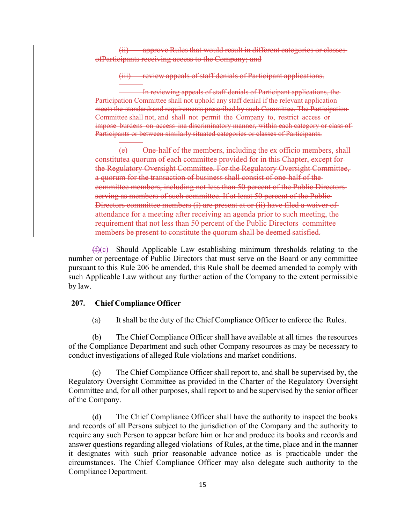(ii) approve Rules that would result in different categories or classes of Participants receiving access to the Company; and

(iii) review appeals of staff denials of Participant applications.

In reviewing appeals of staff denials of Participant applications, the Participation Committee shall not uphold any staff denial if the relevant application meets the standards and requirements prescribed by such Committee. The Participation-Committee shall not, and shall not permit the Company to, restrict access or impose burdens on access ina discriminatory manner, within each category or class of Participants or between similarly situated categories or classes of Participants.

(e) One-half of the members, including the ex officio members, shall constitute a quorum of each committee provided for in this Chapter, except forthe Regulatory Oversight Committee. For the Regulatory Oversight Committee, a quorum for the transaction of business shall consist of one-half of the committee members, including not less than 50 percent of the Public Directors serving as members of such committee. If at least 50 percent of the Public-Directors committee members (i) are present at or (ii) have filed a waiver of attendance for a meeting after receiving an agenda prior to such meeting, the requirement that not less than 50 percent of the Public Directors committee members be present to constitute the quorum shall be deemed satisfied.

 $(f)(c)$  Should Applicable Law establishing minimum thresholds relating to the number or percentage of Public Directors that must serve on the Board or any committee pursuant to this Rule 206 be amended, this Rule shall be deemed amended to comply with such Applicable Law without any further action of the Company to the extent permissible by law.

### **207. Chief Compliance Officer**

(a) It shall be the duty of the Chief Compliance Officer to enforce the Rules.

(b) The Chief Compliance Officer shall have available at all times the resources of the Compliance Department and such other Company resources as may be necessary to conduct investigations of alleged Rule violations and market conditions.

(c) The Chief Compliance Officer shall report to, and shall be supervised by, the Regulatory Oversight Committee as provided in the Charter of the Regulatory Oversight Committee and, for all other purposes, shall report to and be supervised by the senior officer of the Company.

(d) The Chief Compliance Officer shall have the authority to inspect the books and records of all Persons subject to the jurisdiction of the Company and the authority to require any such Person to appear before him or her and produce its books and records and answer questions regarding alleged violations of Rules, at the time, place and in the manner it designates with such prior reasonable advance notice as is practicable under the circumstances. The Chief Compliance Officer may also delegate such authority to the Compliance Department.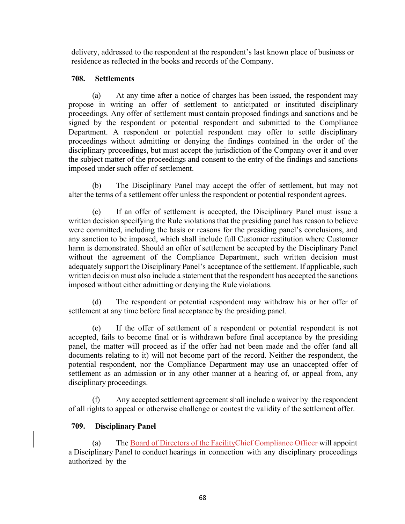delivery, addressed to the respondent at the respondent's last known place of business or residence as reflected in the books and records of the Company.

## **708. Settlements**

(a) At any time after a notice of charges has been issued, the respondent may propose in writing an offer of settlement to anticipated or instituted disciplinary proceedings. Any offer of settlement must contain proposed findings and sanctions and be signed by the respondent or potential respondent and submitted to the Compliance Department. A respondent or potential respondent may offer to settle disciplinary proceedings without admitting or denying the findings contained in the order of the disciplinary proceedings, but must accept the jurisdiction of the Company over it and over the subject matter of the proceedings and consent to the entry of the findings and sanctions imposed under such offer of settlement.

(b) The Disciplinary Panel may accept the offer of settlement, but may not alter the terms of a settlement offer unless the respondent or potential respondent agrees.

(c) If an offer of settlement is accepted, the Disciplinary Panel must issue a written decision specifying the Rule violations that the presiding panel has reason to believe were committed, including the basis or reasons for the presiding panel's conclusions, and any sanction to be imposed, which shall include full Customer restitution where Customer harm is demonstrated. Should an offer of settlement be accepted by the Disciplinary Panel without the agreement of the Compliance Department, such written decision must adequately support the Disciplinary Panel's acceptance of the settlement. If applicable, such written decision must also include a statement that the respondent has accepted the sanctions imposed without either admitting or denying the Rule violations.

(d) The respondent or potential respondent may withdraw his or her offer of settlement at any time before final acceptance by the presiding panel.

(e) If the offer of settlement of a respondent or potential respondent is not accepted, fails to become final or is withdrawn before final acceptance by the presiding panel, the matter will proceed as if the offer had not been made and the offer (and all documents relating to it) will not become part of the record. Neither the respondent, the potential respondent, nor the Compliance Department may use an unaccepted offer of settlement as an admission or in any other manner at a hearing of, or appeal from, any disciplinary proceedings.

(f) Any accepted settlement agreement shall include a waiver by the respondent of all rights to appeal or otherwise challenge or contest the validity of the settlement offer.

# **709. Disciplinary Panel**

(a) The Board of Directors of the FacilityChief Compliance Officer will appoint a Disciplinary Panel to conduct hearings in connection with any disciplinary proceedings authorized by the